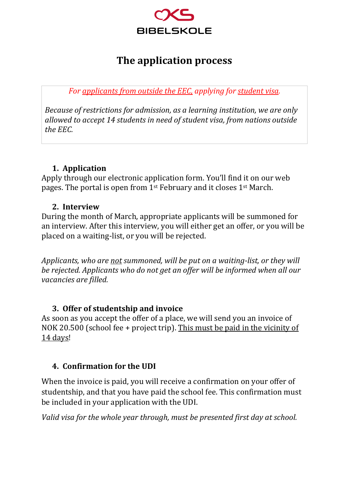

# **The application process**

*For applicants from outside the EEC, applying for student visa.*

*Because of restrictions for admission, as a learning institution, we are only allowed to accept 14 students in need of student visa, from nations outside the EEC.* 

# **1. Application**

Apply through our electronic application form. You'll find it on our web pages. The portal is open from 1st February and it closes 1st March.

#### **2. Interview**

During the month of March, appropriate applicants will be summoned for an interview. After this interview, you will either get an offer, or you will be placed on a waiting-list, or you will be rejected.

*Applicants, who are not summoned, will be put on a waiting-list, or they will be rejected. Applicants who do not get an offer will be informed when all our vacancies are filled.*

# **3. Offer of studentship and invoice**

As soon as you accept the offer of a place, we will send you an invoice of NOK 20.500 (school fee + project trip). This must be paid in the vicinity of 14 days!

# **4. Confirmation for the UDI**

When the invoice is paid, you will receive a confirmation on your offer of studentship, and that you have paid the school fee. This confirmation must be included in your application with the UDI.

*Valid visa for the whole year through, must be presented first day at school.*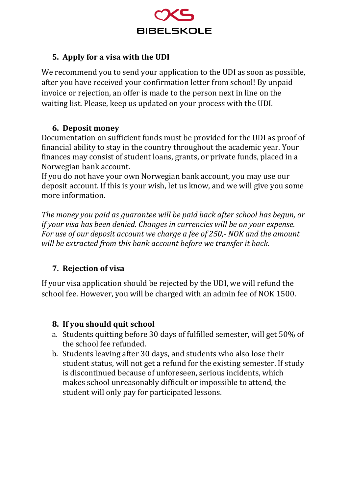

# **5. Apply for a visa with the UDI**

We recommend you to send your application to the UDI as soon as possible, after you have received your confirmation letter from school! By unpaid invoice or rejection, an offer is made to the person next in line on the waiting list. Please, keep us updated on your process with the UDI.

#### **6. Deposit money**

Documentation on sufficient funds must be provided for the UDI as proof of financial ability to stay in the country throughout the academic year. Your finances may consist of student loans, grants, or private funds, placed in a Norwegian bank account.

If you do not have your own Norwegian bank account, you may use our deposit account. If this is your wish, let us know, and we will give you some more information.

*The money you paid as guarantee will be paid back after school has begun, or if your visa has been denied. Changes in currencies will be on your expense. For use of our deposit account we charge a fee of 250,- NOK and the amount will be extracted from this bank account before we transfer it back.* 

# **7. Rejection of visa**

If your visa application should be rejected by the UDI, we will refund the school fee. However, you will be charged with an admin fee of NOK 1500.

#### **8. If you should quit school**

- a. Students quitting before 30 days of fulfilled semester, will get 50% of the school fee refunded.
- b. Students leaving after 30 days, and students who also lose their student status, will not get a refund for the existing semester. If study is discontinued because of unforeseen, serious incidents, which makes school unreasonably difficult or impossible to attend, the student will only pay for participated lessons.